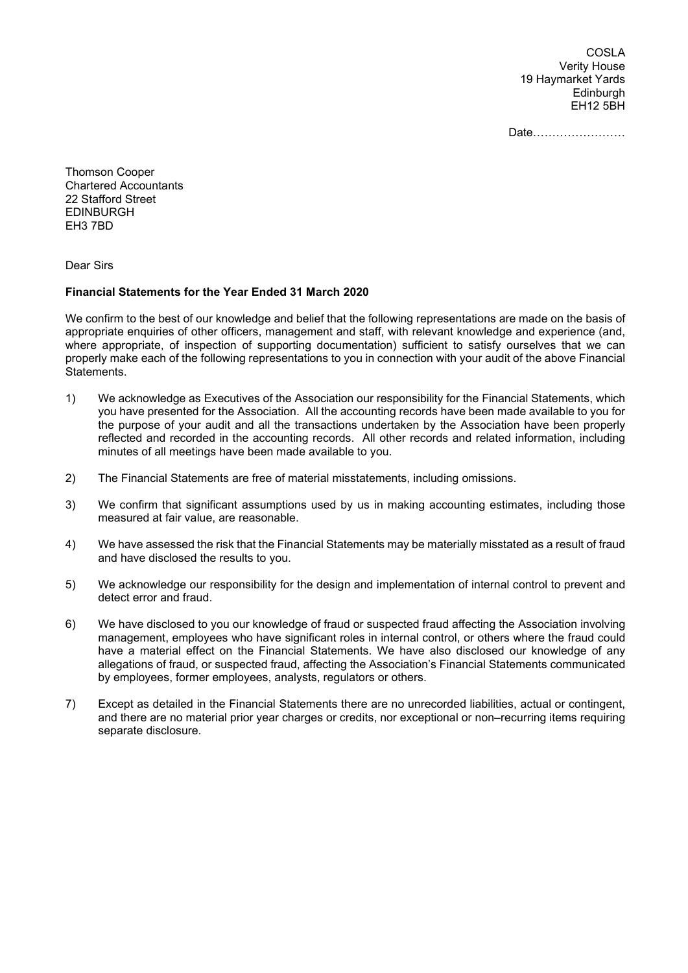COSLA Verity House 19 Haymarket Yards Edinburgh EH12 5BH

Date……………………

Thomson Cooper Chartered Accountants 22 Stafford Street EDINBURGH EH3 7BD

Dear Sirs

## **Financial Statements for the Year Ended 31 March 2020**

We confirm to the best of our knowledge and belief that the following representations are made on the basis of appropriate enquiries of other officers, management and staff, with relevant knowledge and experience (and, where appropriate, of inspection of supporting documentation) sufficient to satisfy ourselves that we can properly make each of the following representations to you in connection with your audit of the above Financial Statements.

- 1) We acknowledge as Executives of the Association our responsibility for the Financial Statements, which you have presented for the Association. All the accounting records have been made available to you for the purpose of your audit and all the transactions undertaken by the Association have been properly reflected and recorded in the accounting records. All other records and related information, including minutes of all meetings have been made available to you.
- 2) The Financial Statements are free of material misstatements, including omissions.
- 3) We confirm that significant assumptions used by us in making accounting estimates, including those measured at fair value, are reasonable.
- 4) We have assessed the risk that the Financial Statements may be materially misstated as a result of fraud and have disclosed the results to you.
- 5) We acknowledge our responsibility for the design and implementation of internal control to prevent and detect error and fraud.
- 6) We have disclosed to you our knowledge of fraud or suspected fraud affecting the Association involving management, employees who have significant roles in internal control, or others where the fraud could have a material effect on the Financial Statements. We have also disclosed our knowledge of any allegations of fraud, or suspected fraud, affecting the Association's Financial Statements communicated by employees, former employees, analysts, regulators or others.
- 7) Except as detailed in the Financial Statements there are no unrecorded liabilities, actual or contingent, and there are no material prior year charges or credits, nor exceptional or non–recurring items requiring separate disclosure.